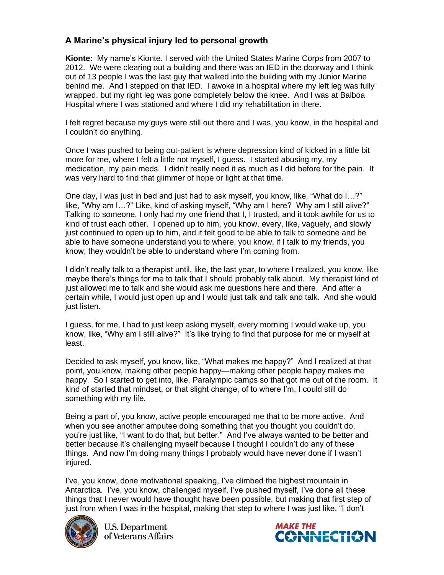## **A Marine's physical injury led to personal growth**

**Kionte:** My name's Kionte. I served with the United States Marine Corps from 2007 to 2012. We were clearing out a building and there was an IED in the doorway and I think out of 13 people I was the last guy that walked into the building with my Junior Marine behind me. And I stepped on that IED. I awoke in a hospital where my left leg was fully wrapped, but my right leg was gone completely below the knee. And I was at Balboa Hospital where I was stationed and where I did my rehabilitation in there.

I felt regret because my guys were still out there and I was, you know, in the hospital and I couldn't do anything.

Once I was pushed to being out-patient is where depression kind of kicked in a little bit more for me, where I felt a little not myself, I guess. I started abusing my, my medication, my pain meds. I didn't really need it as much as I did before for the pain. It was very hard to find that glimmer of hope or light at that time.

One day, I was just in bed and just had to ask myself, you know, like, "What do I…?" like, "Why am I…?" Like, kind of asking myself, "Why am I here? Why am I still alive?" Talking to someone, I only had my one friend that I, I trusted, and it took awhile for us to kind of trust each other. I opened up to him, you know, every, like, vaguely, and slowly just continued to open up to him, and it felt good to be able to talk to someone and be able to have someone understand you to where, you know, if I talk to my friends, you know, they wouldn't be able to understand where I'm coming from.

I didn't really talk to a therapist until, like, the last year, to where I realized, you know, like maybe there's things for me to talk that I should probably talk about. My therapist kind of just allowed me to talk and she would ask me questions here and there. And after a certain while, I would just open up and I would just talk and talk and talk. And she would just listen.

I guess, for me, I had to just keep asking myself, every morning I would wake up, you know, like, "Why am I still alive?" It's like trying to find that purpose for me or myself at least.

Decided to ask myself, you know, like, "What makes me happy?" And I realized at that point, you know, making other people happy—making other people happy makes me happy. So I started to get into, like, Paralympic camps so that got me out of the room. It kind of started that mindset, or that slight change, of to where I'm, I could still do something with my life.

Being a part of, you know, active people encouraged me that to be more active. And when you see another amputee doing something that you thought you couldn't do, you're just like, "I want to do that, but better." And I've always wanted to be better and better because it's challenging myself because I thought I couldn't do any of these things. And now I'm doing many things I probably would have never done if I wasn't injured.

I've, you know, done motivational speaking, I've climbed the highest mountain in Antarctica. I've, you know, challenged myself, I've pushed myself, I've done all these things that I never would have thought have been possible, but making that first step of just from when I was in the hospital, making that step to where I was just like, "I don't



**U.S. Department** of Veterans Affairs